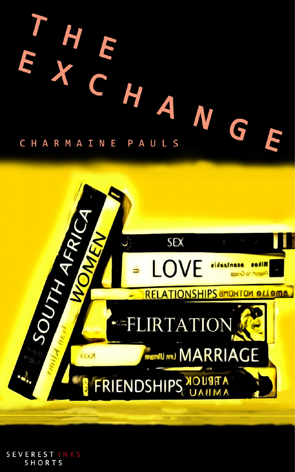



SEVEREST INKS<br>SHORTS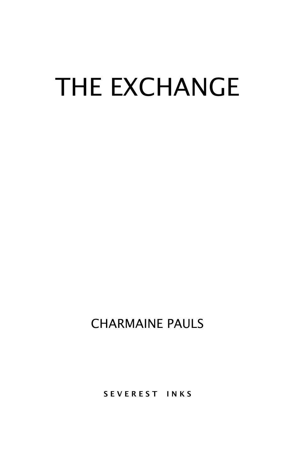## THE EXCHANGE

CHARMAINE PAULS

SEVEREST INKS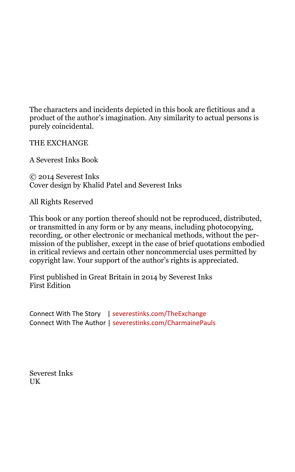The characters and incidents depicted in this book are fictitious and a product of the author's imagination. Any similarity to actual persons is purely coincidental.

THE EXCHANGE

A Severest Inks Book

© 2014 Severest Inks Cover design by Khalid Patel and Severest Inks

All Rights Reserved

This book or any portion thereof should not be reproduced, distributed, or transmitted in any form or by any means, including photocopying, recording, or other electronic or mechanical methods, without the permission of the publisher, except in the case of brief quotations embodied in critical reviews and certain other noncommercial uses permitted by copyright law. Your support of the author's rights is appreciated.

First published in Great Britain in 2014 by Severest Inks First Edition

Connect With The Story [| severestinks.com/TheExchange](http://www.severestinks.com/TheExchange) Connect With The Author [| severestinks.com/CharmainePauls](http://www.severestinks.com/CharmainePauls)

Severest Inks UK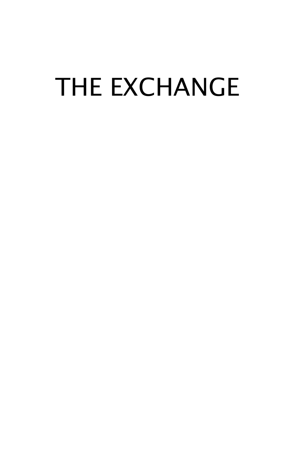## THE EXCHANGE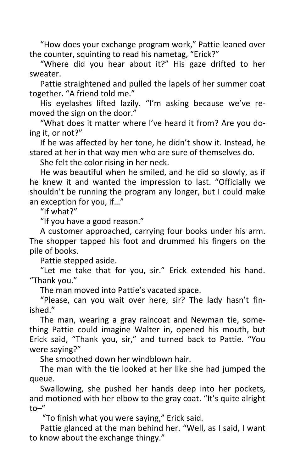"How does your exchange program work," Pattie leaned over the counter, squinting to read his nametag, "Erick?"

"Where did you hear about it?" His gaze drifted to her sweater.

Pattie straightened and pulled the lapels of her summer coat together. "A friend told me."

His eyelashes lifted lazily. "I'm asking because we've removed the sign on the door."

"What does it matter where I've heard it from? Are you doing it, or not?"

If he was affected by her tone, he didn't show it. Instead, he stared at her in that way men who are sure of themselves do.

She felt the color rising in her neck.

He was beautiful when he smiled, and he did so slowly, as if he knew it and wanted the impression to last. "Officially we shouldn't be running the program any longer, but I could make an exception for you, if…"

"If what?"

"If you have a good reason."

A customer approached, carrying four books under his arm. The shopper tapped his foot and drummed his fingers on the pile of books.

Pattie stepped aside.

"Let me take that for you, sir." Erick extended his hand. "Thank you."

The man moved into Pattie's vacated space.

"Please, can you wait over here, sir? The lady hasn't finished."

The man, wearing a gray raincoat and Newman tie, something Pattie could imagine Walter in, opened his mouth, but Erick said, "Thank you, sir," and turned back to Pattie. "You were saying?"

She smoothed down her windblown hair.

The man with the tie looked at her like she had jumped the queue.

Swallowing, she pushed her hands deep into her pockets, and motioned with her elbow to the gray coat. "It's quite alright to–"

"To finish what you were saying," Erick said.

Pattie glanced at the man behind her. "Well, as I said, I want to know about the exchange thingy."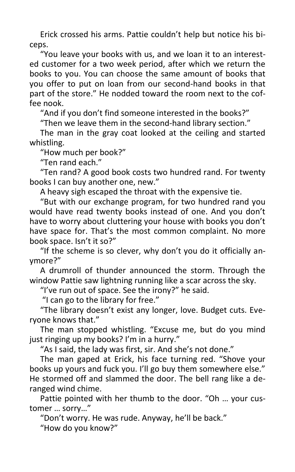Erick crossed his arms. Pattie couldn't help but notice his biceps.

"You leave your books with us, and we loan it to an interested customer for a two week period, after which we return the books to you. You can choose the same amount of books that you offer to put on loan from our second-hand books in that part of the store." He nodded toward the room next to the coffee nook.

"And if you don't find someone interested in the books?"

"Then we leave them in the second-hand library section."

The man in the gray coat looked at the ceiling and started whistling.

"How much per book?"

"Ten rand each."

"Ten rand? A good book costs two hundred rand. For twenty books I can buy another one, new."

A heavy sigh escaped the throat with the expensive tie.

"But with our exchange program, for two hundred rand you would have read twenty books instead of one. And you don't have to worry about cluttering your house with books you don't have space for. That's the most common complaint. No more book space. Isn't it so?"

"If the scheme is so clever, why don't you do it officially anymore?"

A drumroll of thunder announced the storm. Through the window Pattie saw lightning running like a scar across the sky.

"I've run out of space. See the irony?" he said.

"I can go to the library for free."

"The library doesn't exist any longer, love. Budget cuts. Everyone knows that."

The man stopped whistling. "Excuse me, but do you mind just ringing up my books? I'm in a hurry."

"As I said, the lady was first, sir. And she's not done."

The man gaped at Erick, his face turning red. "Shove your books up yours and fuck you. I'll go buy them somewhere else." He stormed off and slammed the door. The bell rang like a deranged wind chime.

Pattie pointed with her thumb to the door. "Oh … your customer … sorry…"

"Don't worry. He was rude. Anyway, he'll be back."

"How do you know?"